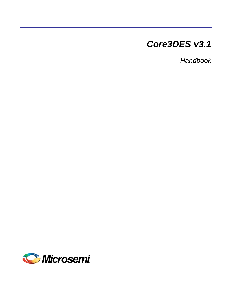# *Core3DES v3.1*

*Handbook*

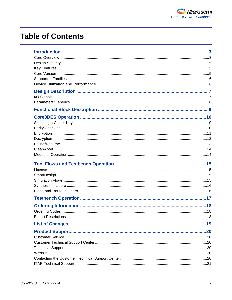# **Table of Contents**

| .19 |
|-----|
|     |
|     |
|     |
|     |
|     |
|     |
|     |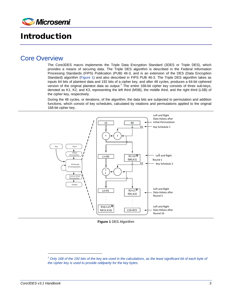

# <span id="page-2-0"></span>Introduction

### <span id="page-2-1"></span>Core Overview

The Core3DES macro implements the Triple Data Encryption Standard (3DES or Triple DES), which provides a means of securing data. The Triple DES algorithm is described in the Federal Information Processing Standards (FIPS) Publication (PUB) 46-3, and is an extension of the DES (Data Encryption Standard) algorithm [\(Figure 1\)](#page-2-2) and also described in FIPS PUB 46-3. The Triple DES algorithm takes as inputs 64 bits of plaintext data and 192 bits of a cipher key, and after 48 cycles, produces a 64-bit ciphered version of the original plaintext data as output.<sup>[1](#page-2-3)</sup> The entire 168-bit cipher key consists of three sub-keys, denoted as K1, K2, and K3, representing the left third (MSB), the middle third, and the right third (LSB) of the cipher key, respectively.

During the 48 cycles, or iterations, of the algorithm, the data bits are subjected to permutation and addition functions, which consist of key schedules, calculated by rotations and permutations applied to the original 168-bit cipher key.



**Figure 1** DES Algorithm

<span id="page-2-3"></span><span id="page-2-2"></span><sup>&</sup>lt;sup>1</sup> Only 168 of the 192 bits of the key are used in the calculations, as the least significant bit of each byte of *the cipher key is used to provide oddparity for the key bytes.*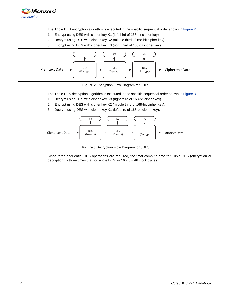

The Triple DES encryption algorithm is executed in the specific sequential order shown i[n Figure 2.](#page-3-0)

- 1. Encrypt using DES with cipher key K1 (left third of 168-bit cipher key).
- 2. Decrypt using DES with cipher key K2 (middle third of 168-bit cipher key).
- 3. Encrypt using DES with cipher key K3 (right third of 168-bit cipher key).



**Figure 2** Encryption Flow Diagram for 3DES

<span id="page-3-0"></span>The Triple DES decryption algorithm is executed in the specific sequential order shown i[n Figure 3.](#page-3-1)

- 1. Decrypt using DES with cipher key K3 (right third of 168-bit cipher key).
- 2. Encrypt using DES with cipher key K2 (middle third of 168-bit cipher key).
- 3. Decrypt using DES with cipher key K1 (left third of 168-bit cipher key).



**Figure 3** Decryption Flow Diagram for 3DES

<span id="page-3-1"></span>Since three sequential DES operations are required, the total compute time for Triple DES (encryption or decryption) is three times that for single DES, or  $16 \times 3 = 48$  clock cycles.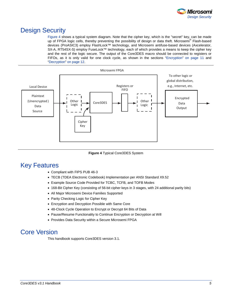

## <span id="page-4-0"></span>Design Security

[Figure 4](#page-4-3) shows a typical system diagram. Note that the cipher key, which is the "secret" key, can be made up of FPGA logic cells, thereby preventing the possibility of design or data theft. Microsemi<sup>®</sup> Flash-based devices (ProASIC3) employ FlashLock™ technology, and Microsemi antifuse-based devices (Axcelerator, SX-A, RT54SX-S) employ FuseLock™ technology, each of which provides a means to keep the cipher key and the rest of the logic secure. The output of the Core3DES macro should be connected to registers or FIFOs, as it is only valid for one clock cycle, as shown in the sections ["Encryption"](#page-10-0) on page [11](#page-10-0) and ["Decryption"](#page-11-0) on pag[e 12.](#page-11-0)



**Figure 4** Typical Core3DES System

## <span id="page-4-3"></span><span id="page-4-1"></span>Key Features

- Compliant with FIPS PUB 46-3
- TECB (TDEA Electronic Codebook) Implementation per ANSI Standard X9.52
- Example Source Code Provided for TCBC, TCFB, and TOFB Modes
- 168-Bit Cipher Key (consisting of 56-bit cipher keys in 3 stages, with 24 additional parity bits)
- All Major Microsemi Device Families Supported
- Parity Checking Logic for Cipher Key
- Encryption and Decryption Possible with Same Core
- 48-Clock Cycle Operation to Encrypt or Decrypt 64 Bits of Data
- Pause/Resume Functionality to Continue Encryption or Decryption at Will
- Provides Data Security within a Secure Microsemi FPGA

## <span id="page-4-2"></span>Core Version

This handbook supports Core3DES version 3.1.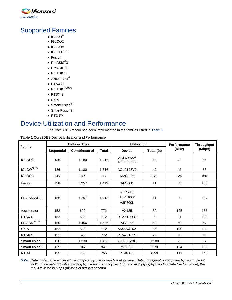

## <span id="page-5-0"></span>Supported Families

- IGLOO®
- IGLOO2
- IGLOOe
- IGLOO<sup>PLUS</sup>
- Fusion
- ProASIC<sup>®</sup>3
- ProASIC3E
- ProASIC3L
- Axcelerator<sup>®</sup>
- RTAX-S
- ProASIC<sup>PLUS®</sup>
- RTSX-S
- SX-A
- SmartFusion<sup>®</sup>
- SmartFusion2
- RTG4™

## <span id="page-5-1"></span>Device Utilization and Performance

The Core3DES macro has been implemented in the families listed in [Table 1.](#page-5-2)

<span id="page-5-2"></span>

|--|

| <b>Family</b>           | <b>Cells or Tiles</b> |               |              | <b>Utilization</b>             |           | <b>Performance</b> | <b>Throughput</b> |
|-------------------------|-----------------------|---------------|--------------|--------------------------------|-----------|--------------------|-------------------|
|                         | <b>Sequential</b>     | Combinatorial | <b>Total</b> | <b>Device</b>                  | Total (%) | (MHz)              | (Mbps)            |
| IGLOO/e                 | 136                   | 1,180         | 1,316        | AGL600V2/<br>AGLE600V2         | 10        | 42                 | 56                |
| IGLOO <sup>PLUS</sup>   | 136                   | 1,180         | 1,316        | AGLP125V2                      | 42        | 42                 | 56                |
| IGLOO2                  | 135                   | 947           | 947          | M2GL050                        | 1.70      | 124                | 165               |
| Fusion                  | 156                   | 1,257         | 1,413        | AFS600                         | 11        | 75                 | 100               |
| ProASIC3/E/L            | 156                   | 1,257         | 1,413        | A3P600/<br>A3PE600/<br>A3P600L | 11        | 80                 | 107               |
| Axcelerator             | 152                   | 620           | 772          | AX125                          | 39        | 125                | 167               |
| RTAX-S                  | 152                   | 620           | 772          | <b>RTAX1000S</b>               | 5         | 81                 | 108               |
| ProASIC <sup>PLUS</sup> | 150                   | 1,456         | 1,606        | APA075                         | 53        | 50                 | 67                |
| SX-A                    | 152                   | 620           | 772          | A545SX16A                      | 55        | 100                | 133               |
| RTSX-S                  | 152                   | 620           | 772          | RT54SX32S                      | 28        | 60                 | 80                |
| <b>SmartFusion</b>      | 136                   | 1,330         | 1,466        | A2F500M3G                      | 13.80     | 73                 | 97                |
| SmartFusion2            | 135                   | 947           | 947          | M2S050                         | 1.70      | 124                | 165               |
| RTG4                    | 135                   | 753           | 755          | RT4G150                        | 0.50      | 111                | 148               |

*Note: Data in this table achieved using typical synthesis and layout settings. Data throughput is computed by taking the bit width of the data (64 bits), dividing by the number of cycles (48), and multiplying by the clock rate (performance); the result is listed in Mbps (millions of bits per second).*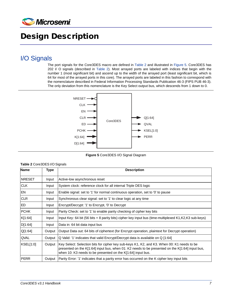

# <span id="page-6-0"></span>Design Description

## <span id="page-6-1"></span>I/O Signals

The port signals for the Core3DES macro are defined in [Table 2](#page-6-2) and illustrated in [Figure 5.](#page-6-3) Core3DES has 202 I/ O signals (described in [Table 2\)](#page-6-2). Most arrayed ports are labeled with indices that begin with the number 1 (most significant bit) and ascend up to the width of the arrayed port (least significant bit, which is 64 for most of the arrayed ports in this core). The arrayed ports are labeled in this fashion to correspond with the nomenclature described in Federal Information Processing Standards Publication 46-3 (FIPS PUB 46-3). The only deviation from this nomenclature is the Key Select output bus, which descends from 1 down to 0.



**Figure 5** Core3DES I/O Signal Diagram

<span id="page-6-3"></span><span id="page-6-2"></span>**Table 2** Core3DES I/O Signals

| <b>Name</b>    | <b>Type</b> | <b>Description</b>                                                                                                                                                                                                                                           |
|----------------|-------------|--------------------------------------------------------------------------------------------------------------------------------------------------------------------------------------------------------------------------------------------------------------|
| <b>INRESET</b> | Input       | Active-low asynchronous reset                                                                                                                                                                                                                                |
| <b>CLK</b>     | Input       | System clock: reference clock for all internal Triple DES logic                                                                                                                                                                                              |
| EN             | Input       | Enable signal: set to '1' for normal continuous operation, set to '0' to pause                                                                                                                                                                               |
| <b>CLR</b>     | Input       | Synchronous clear signal: set to '1' to clear logic at any time                                                                                                                                                                                              |
| ED             | Input       | Encrypt/Decrypt: '1' to Encrypt, '0' to Decrypt                                                                                                                                                                                                              |
| <b>PCHK</b>    | Input       | Parity Check: set to '1' to enable parity checking of cipher key bits                                                                                                                                                                                        |
| K[1:64]        | Input       | Input Key: 64 bit (56 bits $+8$ parity bits) cipher key input bus (time-multiplexed K1, K2, K3 sub-keys)                                                                                                                                                     |
| D[1:64]        | Input       | Data in: 64 bit data input bus                                                                                                                                                                                                                               |
| Q[1:64]        | Output      | Output Data out: 64 bits of ciphertext (for Encrypt operation, plaintext for Decrypt operation)                                                                                                                                                              |
| QVAL           | Output      | Q Valid: '1' indicates that valid Encrypt/Decrypt data is available on Q [1:64]                                                                                                                                                                              |
| KSEL[1:0]      | Output      | Key Select: Selection bits for cipher key sub-keys K1, K2, and K3. When 00: K1 needs to be<br>presented on the K[1:64] input bus, when 01: K2 needs to be presented on the K[1:64] input bus,<br>when 10: K3 needs to be presented on the K[1:64] input bus. |
| <b>PERR</b>    | Output      | Parity Error: '1' indicates that a parity error has occurred on the K cipher key input bits                                                                                                                                                                  |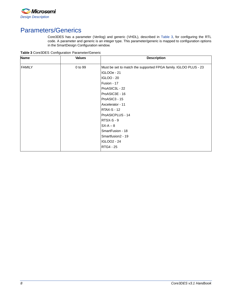

## <span id="page-7-0"></span>Parameters/Generics

Core3DES has a parameter (Verilog) and generic (VHDL), described in [Table 3,](#page-7-1) for configuring the RTL code. A parameter and generic is an integer type. This parameter/generic is mapped to configuration options in the SmartDesign Configuration window.

<span id="page-7-1"></span>**Table 3** Core3DES Configuration Parameter/Generic

| <b>Name</b>   | <b>Values</b> | <b>Description</b>                                              |
|---------------|---------------|-----------------------------------------------------------------|
| <b>FAMILY</b> | 0 to 99       | Must be set to match the supported FPGA family. IGLOO PLUS - 23 |
|               |               | <b>IGLOOe - 21</b>                                              |
|               |               | <b>IGLOO - 20</b>                                               |
|               |               | Fusion - 17                                                     |
|               |               | ProASIC3L - 22                                                  |
|               |               | ProASIC3E - 16                                                  |
|               |               | ProASIC3 - 15                                                   |
|               |               | Axcelerator - 11                                                |
|               |               | <b>RTAX-S - 12</b>                                              |
|               |               | ProASICPLUS - 14                                                |
|               |               | $RTSX-S - 9$                                                    |
|               |               | $SX-A-8$                                                        |
|               |               | SmartFusion - 18                                                |
|               |               | Smartfusion2 - 19                                               |
|               |               | <b>IGLOO2 - 24</b>                                              |
|               |               | RTG4 - 25                                                       |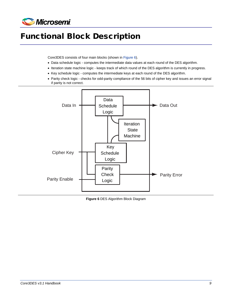

# <span id="page-8-0"></span>Functional Block Description

Core3DES consists of four main blocks (shown i[n Figure 6\)](#page-8-1).

- Data schedule logic computes the intermediate data values at each round of the DES algorithm.
- Iteration state machine logic keeps track of which round of the DES algorithm is currently in progress.
- Key schedule logic computes the intermediate keys at each round of the DES algorithm.
- Parity check logic checks for odd-parity compliance of the 56 bits of cipher key and issues an error signal if parity is not correct.



<span id="page-8-1"></span>**Figure 6** DES Algorithm Block Diagram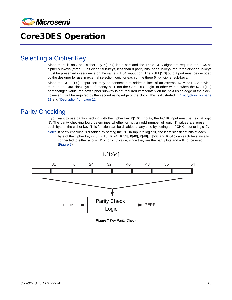

# <span id="page-9-0"></span>Core3DES Operation

### <span id="page-9-1"></span>Selecting a Cipher Key

Since there is only one cipher key K[1:64] input port and the Triple DES algorithm requires three 64-bit cipher subkeys (three 56-bit cipher sub-keys, less than 8 parity bits, per sub-key), the three cipher sub-keys must be presented in sequence on the same K[1:64] input port. The KSEL[1:0] output port must be decoded by the designer for use in external selection logic for each of the three 64-bit cipher sub-keys.

Since the KSEL[1:0] output port may be connected to address lines of an external RAM or ROM device, there is an extra clock cycle of latency built into the Core3DES logic. In other words, when the KSEL[1:0] port changes value, the next cipher sub-key is not required immediately on the next rising edge of the clock, however; it will be required by the second rising edge of the clock. This is illustrated in ["Encryption"](#page-10-0) on page [11](#page-10-0) and ["Decryption"](#page-11-0) on pag[e 12.](#page-11-0)

## <span id="page-9-2"></span>Parity Checking

If you want to use parity checking with the cipher key K[1:64] inputs, the PCHK input must be held at logic '1'. The parity checking logic determines whether or not an odd number of logic '1' values are present in each byte of the cipher key. This function can be disabled at any time by setting the PCHK input to logic '0'.

Note: If parity checking is disabled by setting the PCHK input to logic '0,' the least significant bits of each byte of the cipher key (K[8], K[16], K[24], K[32], K[40], K[48], K[56], and K[64]) can each be statically connected to either a logic '1' or logic '0' value, since they are the parity bits and will not be used [\(Figure 7\)](#page-9-3).

<span id="page-9-3"></span>

**Figure 7** Key Parity Check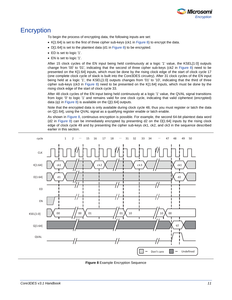

### <span id="page-10-0"></span>**Encryption**

To begin the process of encrypting data, the following inputs are set:

- K[1:64] is set to the first of three cipher sub-keys (ck1 in [Figure 8\)](#page-10-1) to encrypt the data.
- D[1:64] is set to the plaintext data (d1 in [Figure 8\)](#page-10-1) to be encrypted.
- ED is set to logic '1'.
- EN is set to logic '1'.

After 15 clock cycles of the EN input being held continuously at a logic '1' value, the KSEL[1:0] outputs change from '00' to '01', indicating that the second of three cipher sub-keys (ck2 in [Figure 8\)](#page-10-1) need to be presented on the K[1:64] inputs, which must be done by the rising clock edge of the start of clock cycle 17 (one complete clock cycle of slack is built into the Core3DES circuitry). After 31 clock cycles of the EN input being held at a logic '1', the KSEL[1:0] outputs changes from '01' to '10', indicating that the third of three cipher sub-keys (ck3 in [Figure 8\)](#page-10-1) need to be presented on the K[1:64] inputs, which must be done by the rising clock edge of the start of clock cycle 33.

After 48 clock cycles of the EN input being held continuously at a logic '1' value, the QVAL signal transitions from logic '0' to logic '1' and remains valid for one clock cycle, indicating that valid ciphertext (encrypted) data (q1 in [Figure 8\)](#page-10-1) is available on the Q[1:64] outputs.

Note that the encrypted data is only available during clock cycle 48, thus you must register or latch the data on Q[1:64], using the QVAL signal as a qualifying register enable or latch enable.

As shown i[n Figure 8,](#page-10-1) continuous encryption is possible. For example, the second 64-bit plaintext data word (d2 in [Figure 8\)](#page-10-1) can be immediately encrypted by presenting d2 on the D[1:64] inputs by the rising clock edge of clock cycle 49 and by presenting the cipher sub-keys ck1, ck2, and ck3 in the sequence described earlier in this section.



<span id="page-10-1"></span>**Figure 8** Example Encryption Sequence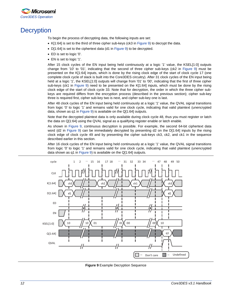

## <span id="page-11-0"></span>**Decryption**

To begin the process of decrypting data, the following inputs are set:

- K[1:64] is set to the third of three cipher sub-keys (ck3 in [Figure 9\)](#page-11-1) to decrypt the data.
- D[1:64] is set to the ciphertext data (d1 i[n Figure 9\)](#page-11-1) to be decrypted.
- ED is set to logic '0'.
- EN is set to logic '1'.

After 15 clock cycles of the EN input being held continuously at a logic '1' value, the KSEL[1:0] outputs change from '10' to '01', indicating that the second of three cipher sub-keys (ck2 in [Figure 9\)](#page-11-1) must be presented on the K[1:64] inputs, which is done by the rising clock edge of the start of clock cycle 17 (one complete clock cycle of slack is built into the Core3DES circuitry). After 31 clock cycles of the EN input being held at a logic '1', the KSEL[1:0] outputs will change from '01' to '00', indicating that the first of three cipher sub-keys (ck1 in [Figure 9\)](#page-11-1) need to be presented on the K[1:64] inputs, which must be done by the rising clock edge of the start of clock cycle 33. Note that for decryption, the order in which the three cipher subkeys are required differs from the encryption process (described in the previous section); cipher sub-key three is required first, cipher sub-key two is next, and cipher sub-key one is last.

After 48 clock cycles of the EN input being held continuously at a logic '1' value, the QVAL signal transitions from logic '0' to logic '1' and remains valid for one clock cycle, indicating that valid plaintext (unencrypted data, shown as q1 in [Figure 9\)](#page-11-1) is available on the Q[1:64] outputs.

Note that the decrypted plaintext data is only available during clock cycle 48, thus you must register or latch the data on Q[1:64] using the QVAL signal as a qualifying register enable or latch enable.

As shown in [Figure 9,](#page-11-1) continuous decryption is possible. For example, the second 64-bit ciphertext data word (d2 in [Figure 9\)](#page-11-1) can be immediately decrypted by presenting d2 on the D[1:64] inputs by the rising clock edge of clock cycle 49 and by presenting the cipher sub-keys ck3, ck2, and ck1 in the sequence described earlier in this section.

After 16 clock cycles of the EN input being held continuously at a logic '1' value, the QVAL signal transitions from logic '0' to logic '1' and remains valid for one clock cycle, indicating that valid plaintext (unencrypted data shown as q1 i[n Figure 9\)](#page-11-1) is available on the Q[1:64] outputs.



<span id="page-11-1"></span>**Figure 9** Example Decryption Sequence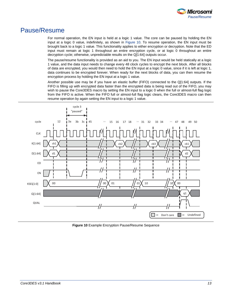

### <span id="page-12-0"></span>Pause/Resume

For normal operation, the EN input is held at a logic 1 value. The core can be paused by holding the EN input at a logic 0 value, indefinitely, as shown in [Figure 10.](#page-12-1) To resume operation, the EN input must be brought back to a logic 1 value. This functionality applies to either encryption or decryption. Note that the ED input must remain at logic 1 throughout an entire encryption cycle, or at logic 0 throughout an entire decryption cycle; otherwise, unpredictable results on the Q[1:64] outputs occur.

The pause/resume functionality is provided as an aid to you. The EN input would be held statically at a logic 1 value, and the data input needs to change every 48 clock cycles to encrypt the next block. After all blocks of data are encrypted, you would then need to hold the EN input at a logic 0 value, since if it is left at logic 1, data continues to be encrypted forever. When ready for the next blocks of data, you can then resume the encryption process by holding the EN input at a logic 1 value.

Another possible use may be if you have an elastic buffer (FIFO) connected to the Q[1:64] outputs. If the FIFO is filling up with encrypted data faster than the encrypted data is being read out of the FIFO, you may wish to pause the Core3DES macro by setting the EN input to a logic 0 when the full or almost-full flag logic from the FIFO is active. When the FIFO full or almost-full flag logic clears, the Core3DES macro can then resume operation by again setting the EN input to a logic 1 value.



<span id="page-12-1"></span>**Figure 10** Example Encryption Pause/Resume Sequence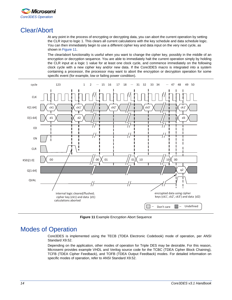

## <span id="page-13-0"></span>Clear/Abort

At any point in the process of encrypting or decrypting data, you can abort the current operation by setting the CLR input to logic 1. This clears all current calculations with the key schedule and data schedule logic. You can then immediately begin to use a different cipher key and data input on the very next cycle, as shown in [Figure 11.](#page-13-2)

The clear/abort functionality is useful when you want to change the cipher key, possibly in the middle of an encryption or decryption sequence. You are able to immediately halt the current operation simply by holding the CLR input at a logic 1 value for at least one clock cycle, and commence immediately on the following clock cycle with a new cipher key and/or new data. If the Core3DES macro is integrated into a system containing a processor, the processor may want to abort the encryption or decryption operation for some specific event (for example, low or failing power condition).



**Figure 11** Example Encryption Abort Sequence

## <span id="page-13-2"></span><span id="page-13-1"></span>Modes of Operation

Core3DES is implemented using the TECB (TDEA Electronic Codebook) mode of operation, per ANSI Standard X9.52.

Depending on the application, other modes of operation for Triple DES may be desirable. For this reason, Microsemi provides example VHDL and Verilog source code for the TCBC (TDEA Cipher Block Chaining), TCFB (TDEA Cipher Feedback), and TOFB (TDEA Output Feedback) modes. For detailed information on specific modes of operation, refer to ANSI Standard X9.52.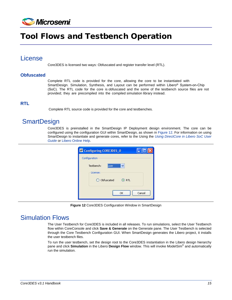

# <span id="page-14-0"></span>Tool Flows and Testbench Operation

### <span id="page-14-1"></span>License

Core3DES is licensed two ways: Obfuscated and register transfer level (RTL).

#### **Obfuscated**

Complete RTL code is provided for the core, allowing the core to be instantiated with SmartDesign. Simulation, Synthesis, and Layout can be performed within Libero® System-on-Chip (SoC). The RTL code for the core is obfuscated and the some of the testbench source files are not provided; they are precompiled into the compiled simulation library instead.

#### **RTL**

Complete RTL source code is provided for the core and testbenches.

### <span id="page-14-2"></span>**SmartDesign**

Core3DES is preinstalled in the SmartDesign IP Deployment design environment. The core can be configured using the configuration GUI within SmartDesign, as shown in [Figure 12.](#page-14-4) For information on using SmartDesign to instantiate and generate cores, refer to the Using the *[Using DirectCore in Libero SoC User](http://www.microsemi.com/soc/documents/directcore_in_libero_tutorial_ug.pdf)  [Guide](http://www.microsemi.com/soc/documents/directcore_in_libero_tutorial_ug.pdf)* or [Libero Online Help.](http://www.microsemi.com/index.php?option=com_docman&task=doc_download&gid=132044)

| Configuration<br>Testbench: | <b>user</b>  | $\checkmark$ |        |
|-----------------------------|--------------|--------------|--------|
| License:                    | O Obfuscated | ORTL         |        |
|                             |              | OK           | Cancel |

**Figure 12** Core3DES Configuration Window in SmartDesign

## <span id="page-14-4"></span><span id="page-14-3"></span>Simulation Flows

The User Testbench for Core3DES is included in all releases. To run simulations, select the User Testbench flow within CoreConsole and click **Save & Generate** on the Generate pane. The User Testbench is selected through the Core Testbench Configuration GUI. When SmartDesign generates the Libero project, it installs the user testbench files.

To run the user testbench, set the design root to the Core3DES instantiation in the Libero design hierarchy pane and click **Simulation** in the Libero **Design Flow** window. This will invoke ModelSim® and automatically run the simulation.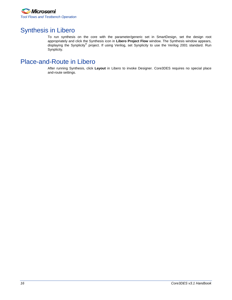

## <span id="page-15-0"></span>Synthesis in Libero

To run synthesis on the core with the parameter/generic set in SmartDesign, set the design root appropriately and click the Synthesis icon in **Libero Project Flow** window. The Synthesis window appears, displaying the Synplicity<sup>®</sup> project. If using Verilog, set Synplicity to use the Verilog 2001 standard. Run Synplicity.

## <span id="page-15-1"></span>Place-and-Route in Libero

After running Synthesis, click **Layout** in Libero to invoke Designer. Core3DES requires no special place and-route settings.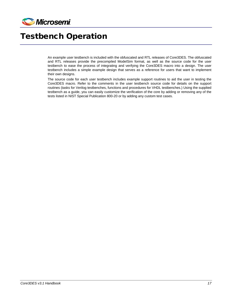

# <span id="page-16-0"></span>Testbench Operation

An example user testbench is included with the obfuscated and RTL releases of Core3DES. The obfuscated and RTL releases provide the precompiled ModelSim format, as well as the source code for the user testbench to ease the process of integrating and verifying the Core3DES macro into a design. The user testbench includes a simple example design that serves as a reference for users that want to implement their own designs.

The source code for each user testbench includes example support routines to aid the user in testing the Core3DES macro. Refer to the comments in the user testbench source code for details on the support routines (tasks for Verilog testbenches, functions and procedures for VHDL testbenches.) Using the supplied testbench as a guide, you can easily customize the verification of the core by adding or removing any of the tests listed in NIST Special Publication 800-20 or by adding any custom test cases.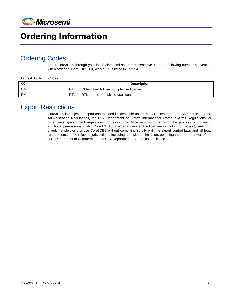

# <span id="page-17-0"></span>Ordering Information

## <span id="page-17-1"></span>Ordering Codes

Order Core3DES through your local Microsemi sales representative. Use the following number convention when ordering: Core3DES-XX, where XX is listed i[n Table 4.](#page-17-3)

#### <span id="page-17-3"></span>**Table 4** Ordering Codes

| XX | Description                                 |
|----|---------------------------------------------|
| OM | RTL for Obfuscated RTL-multiple use license |
| RM | RTL for RTL source - multiple-use license   |

### <span id="page-17-2"></span>Export Restrictions

Core3DES is subject to export controls and is licensable under the U.S. Department of Commerce's Export Administration Regulations, the U.S. Department of State's International Traffic in Arms Regulations, or other laws, government regulations, or restrictions. Microsemi is currently in the process of obtaining additional permissions to ship Core3DES to a wider audience. The licensee will not import, export, re-export, divert, transfer, or disclose Core3DES without complying strictly with the export control laws and all legal requirements in the relevant jurisdictions, including and without limitation, obtaining the prior approval of the U.S. Department of Commerce or the U.S. Department of State, as applicable.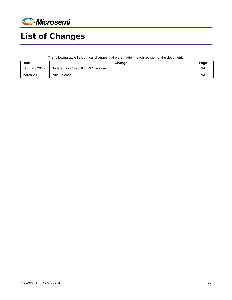

# <span id="page-18-0"></span>List of Changes

The following table lists critical changes that were made in each revision of the document.

| <b>Date</b>   | Change                             | Page      |
|---------------|------------------------------------|-----------|
| February 2015 | Updated for Core3DES v3.1 release. | <b>NA</b> |
| March 2009    | Initial release.                   | <b>NA</b> |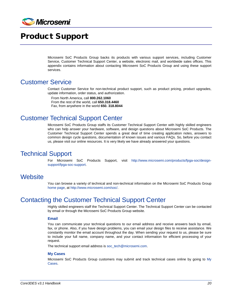

# <span id="page-19-0"></span>Product Support

Microsemi SoC Products Group backs its products with various support services, including Customer Service, Customer Technical Support Center, a website, electronic mail, and worldwide sales offices. This appendix contains information about contacting Microsemi SoC Products Group and using these support services.

### <span id="page-19-1"></span>Customer Service

Contact Customer Service for non-technical product support, such as product pricing, product upgrades, update information, order status, and authorization.

From North America, call **800.262.1060** From the rest of the world, call **650.318.4460** Fax, from anywhere in the world **650. 318.8044**

### <span id="page-19-2"></span>Customer Technical Support Center

Microsemi SoC Products Group staffs its Customer Technical Support Center with highly skilled engineers who can help answer your hardware, software, and design questions about Microsemi SoC Products. The Customer Technical Support Center spends a great deal of time creating application notes, answers to common design cycle questions, documentation of known issues and various FAQs. So, before you contact us, please visit our online resources. It is very likely we have already answered your questions.

### <span id="page-19-3"></span>Technical Support

For Microsemi SoC Products Support, visit [http://www.microsemi.com/products/fpga-soc/design](http://www.microsemi.com/products/fpga-soc/design-support/fpga-soc-support)[support/fpga-soc-support.](http://www.microsemi.com/products/fpga-soc/design-support/fpga-soc-support)

### <span id="page-19-4"></span>**Website**

You can browse a variety of technical and non-technical information on the Microsemi SoC Products Group [home page,](http://www.microsemi.com/soc) at [http://www.microsemi.com/soc/.](http://www.microsemi.com/soc/)

### <span id="page-19-5"></span>Contacting the Customer Technical Support Center

Highly skilled engineers staff the Technical Support Center. The Technical Support Center can be contacted by email or through the Microsemi SoC Products Group website.

#### **Email**

You can communicate your technical questions to our email address and receive answers back by email, fax, or phone. Also, if you have design problems, you can email your design files to receive assistance. We constantly monitor the email account throughout the day. When sending your request to us, please be sure to include your full name, company name, and your contact information for efficient processing of your request.

The technical support email address is soc\_tech@microsemi.com.

#### **My Cases**

Microsemi SoC Products Group customers may submit and track technical cases online by going to [My](http://www.microsemi.com/soc/mycases/)  [Cases.](http://www.microsemi.com/soc/mycases/)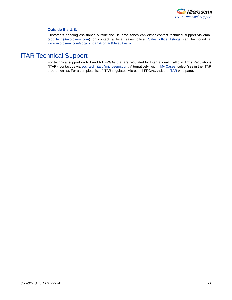

#### **Outside the U.S.**

Customers needing assistance outside the US time zones can either contact technical support via email (soc[\\_tech@microsemi.com\)](mailto:tech@microsemi.com) or contact a local sales office. [Sales office listings](http://www.microsemi.com/soc/company/contact/default.aspx) can be found a[t](http://www.microsemi.com/soc/company/contact/default.aspx) [www.microsemi.com/soc/company/contact/default.aspx.](http://www.microsemi.com/soc/company/contact/default.aspx)

### <span id="page-20-0"></span>[ITAR Technical Support](http://www.microsemi.com/soc/company/contact/default.aspx%23itartechsupport)

For technical support on RH and RT FPGAs that are regulated by International Traffic in Arms Regulations (ITAR), contact us via [soc\\_tech\\_itar@microsemi.com.](mailto:soc_tech_itar@microsemi.com) Alternatively, within [My Cases,](http://www.microsemi.com/mycases/) select **Yes** in the ITAR drop-down list. For a complete list of ITAR-regulated Microsemi FPGAs, visit the [ITAR](http://www.microsemi.com/soc/ITAR/) web page.